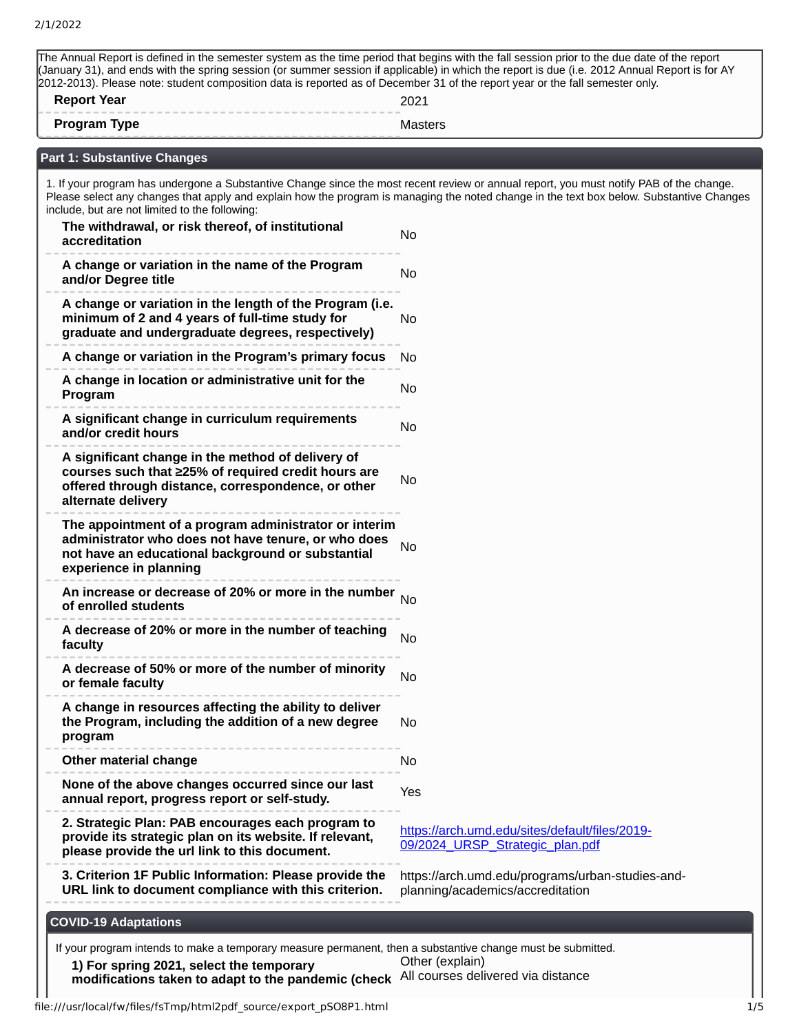| <b>Report Year</b>                                                                                                                                                                          | 2012-2013). Please note: student composition data is reported as of December 31 of the report year or the fall semester only.<br>2021    |
|---------------------------------------------------------------------------------------------------------------------------------------------------------------------------------------------|------------------------------------------------------------------------------------------------------------------------------------------|
| <b>Program Type</b>                                                                                                                                                                         | <b>Masters</b>                                                                                                                           |
| Part 1: Substantive Changes                                                                                                                                                                 |                                                                                                                                          |
| 1. If your program has undergone a Substantive Change since the most recent review or annual report, you must notify PAB of the change.                                                     |                                                                                                                                          |
| include, but are not limited to the following:                                                                                                                                              | Please select any changes that apply and explain how the program is managing the noted change in the text box below. Substantive Changes |
| The withdrawal, or risk thereof, of institutional<br>accreditation                                                                                                                          | <b>No</b>                                                                                                                                |
| A change or variation in the name of the Program<br>and/or Degree title                                                                                                                     | No                                                                                                                                       |
| A change or variation in the length of the Program (i.e.<br>minimum of 2 and 4 years of full-time study for<br>graduate and undergraduate degrees, respectively)                            | No                                                                                                                                       |
| A change or variation in the Program's primary focus                                                                                                                                        | No                                                                                                                                       |
| A change in location or administrative unit for the<br>Program                                                                                                                              | No                                                                                                                                       |
| A significant change in curriculum requirements<br>and/or credit hours                                                                                                                      | No                                                                                                                                       |
| A significant change in the method of delivery of<br>courses such that ≥25% of required credit hours are<br>offered through distance, correspondence, or other<br>alternate delivery        | No                                                                                                                                       |
| The appointment of a program administrator or interim<br>administrator who does not have tenure, or who does<br>not have an educational background or substantial<br>experience in planning | No                                                                                                                                       |
| An increase or decrease of 20% or more in the number<br>of enrolled students                                                                                                                | <b>No</b>                                                                                                                                |
| A decrease of 20% or more in the number of teaching<br>faculty                                                                                                                              | No                                                                                                                                       |
| A decrease of 50% or more of the number of minority<br>or female faculty                                                                                                                    | <b>No</b>                                                                                                                                |
| A change in resources affecting the ability to deliver<br>the Program, including the addition of a new degree<br>program                                                                    | No                                                                                                                                       |
| Other material change                                                                                                                                                                       | No                                                                                                                                       |
| None of the above changes occurred since our last<br>annual report, progress report or self-study.                                                                                          | Yes                                                                                                                                      |
| 2. Strategic Plan: PAB encourages each program to<br>provide its strategic plan on its website. If relevant,<br>please provide the url link to this document.                               | https://arch.umd.edu/sites/default/files/2019-<br>09/2024 URSP Strategic plan.pdf                                                        |
| 3. Criterion 1F Public Information: Please provide the<br>URL link to document compliance with this criterion.                                                                              | https://arch.umd.edu/programs/urban-studies-and-<br>planning/academics/accreditation                                                     |
| <b>COVID-19 Adaptations</b>                                                                                                                                                                 |                                                                                                                                          |
| If your program intends to make a temporary measure permanent, then a substantive change must be submitted.                                                                                 |                                                                                                                                          |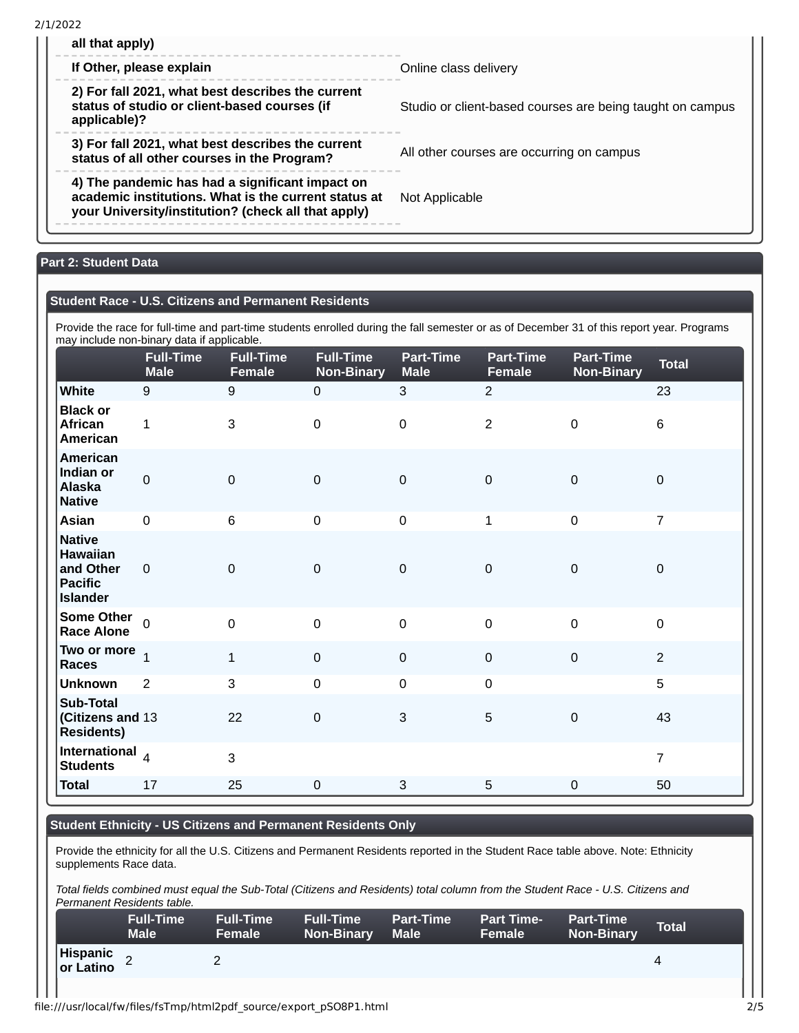2/1/2022

| all that apply)<br>If Other, please explain                                                                                                                    | Online class delivery                                     |
|----------------------------------------------------------------------------------------------------------------------------------------------------------------|-----------------------------------------------------------|
| 2) For fall 2021, what best describes the current<br>status of studio or client-based courses (if<br>applicable)?                                              | Studio or client-based courses are being taught on campus |
| 3) For fall 2021, what best describes the current<br>status of all other courses in the Program?                                                               | All other courses are occurring on campus                 |
| 4) The pandemic has had a significant impact on<br>academic institutions. What is the current status at<br>your University/institution? (check all that apply) | Not Applicable                                            |

# **Part 2: Student Data**

### **Student Race - U.S. Citizens and Permanent Residents**

Provide the race for full-time and part-time students enrolled during the fall semester or as of December 31 of this report year. Programs may include non-binary data if applicable.

|                                                                             | may include non-binary data in applicable.<br><b>Full-Time</b><br><b>Male</b> | <b>Full-Time</b><br>Female | <b>Full-Time</b><br><b>Non-Binary</b> | <b>Part-Time</b><br><b>Male</b> | Part-Time<br><b>Female</b> | Part-Time<br><b>Non-Binary</b> | <b>Total</b>   |
|-----------------------------------------------------------------------------|-------------------------------------------------------------------------------|----------------------------|---------------------------------------|---------------------------------|----------------------------|--------------------------------|----------------|
| <b>White</b>                                                                | 9                                                                             | 9                          | $\pmb{0}$                             | 3                               | $\overline{2}$             |                                | 23             |
| <b>Black or</b><br>African<br>American                                      | $\mathbf{1}$                                                                  | 3                          | $\pmb{0}$                             | $\mathsf{O}$                    | $\overline{2}$             | $\mathsf 0$                    | 6              |
| American<br>Indian or<br><b>Alaska</b><br><b>Native</b>                     | $\mathsf{O}\xspace$                                                           | $\mathbf 0$                | $\mathbf 0$                           | $\mathbf 0$                     | $\mathbf 0$                | $\mathbf 0$                    | $\mathbf 0$    |
| Asian                                                                       | $\mathsf 0$                                                                   | $6\phantom{1}$             | $\pmb{0}$                             | $\mathbf 0$                     | $\mathbf{1}$               | $\mathsf 0$                    | $\overline{7}$ |
| <b>Native</b><br>Hawaiian<br>and Other<br><b>Pacific</b><br><b>Islander</b> | $\mathbf 0$                                                                   | $\mathbf 0$                | $\mathbf 0$                           | $\mathbf 0$                     | $\mathbf 0$                | $\mathsf 0$                    | $\mathbf 0$    |
| <b>Some Other</b><br><b>Race Alone</b>                                      | $\Omega$                                                                      | $\overline{0}$             | $\mathbf 0$                           | $\mathbf 0$                     | $\overline{0}$             | $\mathbf 0$                    | $\mathbf 0$    |
| Two or more $\frac{1}{1}$<br><b>Races</b>                                   |                                                                               | $\mathbf{1}$               | $\mathbf 0$                           | $\mathbf 0$                     | $\mathbf 0$                | $\mathbf 0$                    | $\overline{2}$ |
| <b>Unknown</b>                                                              | $\overline{2}$                                                                | 3                          | $\mathbf 0$                           | $\mathbf 0$                     | $\mathbf 0$                |                                | 5              |
| <b>Sub-Total</b><br>(Citizens and 13<br><b>Residents)</b>                   |                                                                               | 22                         | $\pmb{0}$                             | 3                               | 5                          | $\mathbf 0$                    | 43             |
| International <sub>4</sub><br><b>Students</b>                               |                                                                               | 3                          |                                       |                                 |                            |                                | $\overline{7}$ |
| <b>Total</b>                                                                | $17\,$                                                                        | 25                         | $\mathbf 0$                           | 3                               | 5                          | $\mathsf 0$                    | 50             |

#### **Student Ethnicity - US Citizens and Permanent Residents Only**

Provide the ethnicity for all the U.S. Citizens and Permanent Residents reported in the Student Race table above. Note: Ethnicity supplements Race data.

*Total fields combined must equal the Sub-Total (Citizens and Residents) total column from the Student Race - U.S. Citizens and Permanent Residents table.*

|                        | <b>Full-Time</b><br>Male | <b>Full-Time</b><br><b>Female</b> | <b>Full-Time</b><br><b>Non-Binary</b> | <b>Part-Time</b><br><b>Male</b> | <b>Part Time-</b><br><b>Female</b> | <b>Part-Time</b><br><b>Non-Binary</b> | Total |
|------------------------|--------------------------|-----------------------------------|---------------------------------------|---------------------------------|------------------------------------|---------------------------------------|-------|
| Hispanic<br> or Latino |                          |                                   |                                       |                                 |                                    |                                       |       |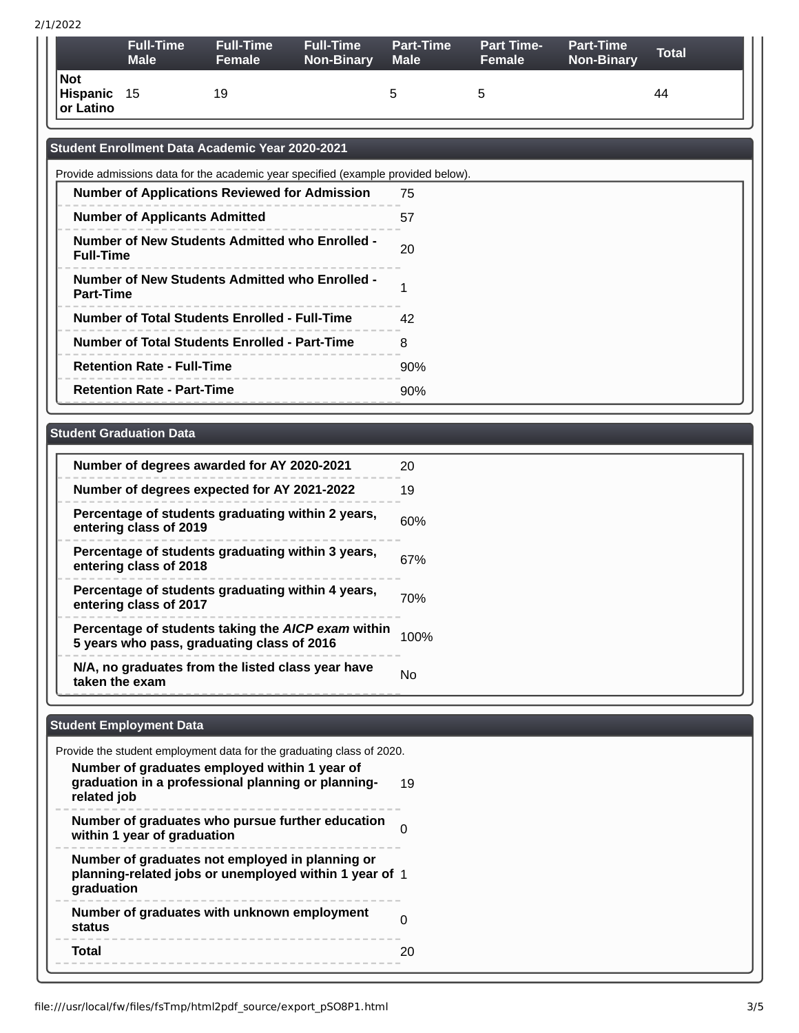#### 2/1/2022

|                              | <b>Full-Time</b><br><b>Male</b> | <b>Full-Time</b><br><b>Female</b> | <b>Full-Time</b><br><b>Non-Binary</b> | <b>Part-Time</b><br><b>Male</b> | <b>Part Time-</b><br>Female | <b>Part-Time</b><br><b>Non-Binary</b> | <b>Total</b> |
|------------------------------|---------------------------------|-----------------------------------|---------------------------------------|---------------------------------|-----------------------------|---------------------------------------|--------------|
| Not<br>Hispanic<br>or Latino | - 15                            | 19                                |                                       |                                 | h                           |                                       | 44           |

# **Student Enrollment Data Academic Year 2020-2021**

| Provide admissions data for the academic year specified (example provided below). |     |  |  |  |
|-----------------------------------------------------------------------------------|-----|--|--|--|
| <b>Number of Applications Reviewed for Admission</b>                              | 75  |  |  |  |
| <b>Number of Applicants Admitted</b>                                              | 57  |  |  |  |
| <b>Number of New Students Admitted who Enrolled -</b><br><b>Full-Time</b>         | 20  |  |  |  |
| Number of New Students Admitted who Enrolled -<br><b>Part-Time</b>                |     |  |  |  |
| Number of Total Students Enrolled - Full-Time                                     | 42  |  |  |  |
| <b>Number of Total Students Enrolled - Part-Time</b>                              | 8   |  |  |  |
| <b>Retention Rate - Full-Time</b>                                                 | 90% |  |  |  |
| <b>Retention Rate - Part-Time</b>                                                 | 90% |  |  |  |

# **Student Graduation Data**

| Number of degrees awarded for AY 2020-2021                                                       | 20   |
|--------------------------------------------------------------------------------------------------|------|
| Number of degrees expected for AY 2021-2022                                                      | 19   |
| Percentage of students graduating within 2 years,<br>entering class of 2019                      | 60%  |
| Percentage of students graduating within 3 years,<br>entering class of 2018                      | 67%  |
| Percentage of students graduating within 4 years,<br>entering class of 2017                      | 70%  |
| Percentage of students taking the AICP exam within<br>5 years who pass, graduating class of 2016 | 100% |
| N/A, no graduates from the listed class year have<br>taken the exam                              | No   |

# **Student Employment Data**

| Provide the student employment data for the graduating class of 2020.                                                   |    |
|-------------------------------------------------------------------------------------------------------------------------|----|
| Number of graduates employed within 1 year of<br>graduation in a professional planning or planning-<br>related job      | 19 |
| Number of graduates who pursue further education<br>within 1 year of graduation                                         |    |
| Number of graduates not employed in planning or<br>planning-related jobs or unemployed within 1 year of 1<br>graduation |    |
| Number of graduates with unknown employment<br>status                                                                   |    |
| Total                                                                                                                   |    |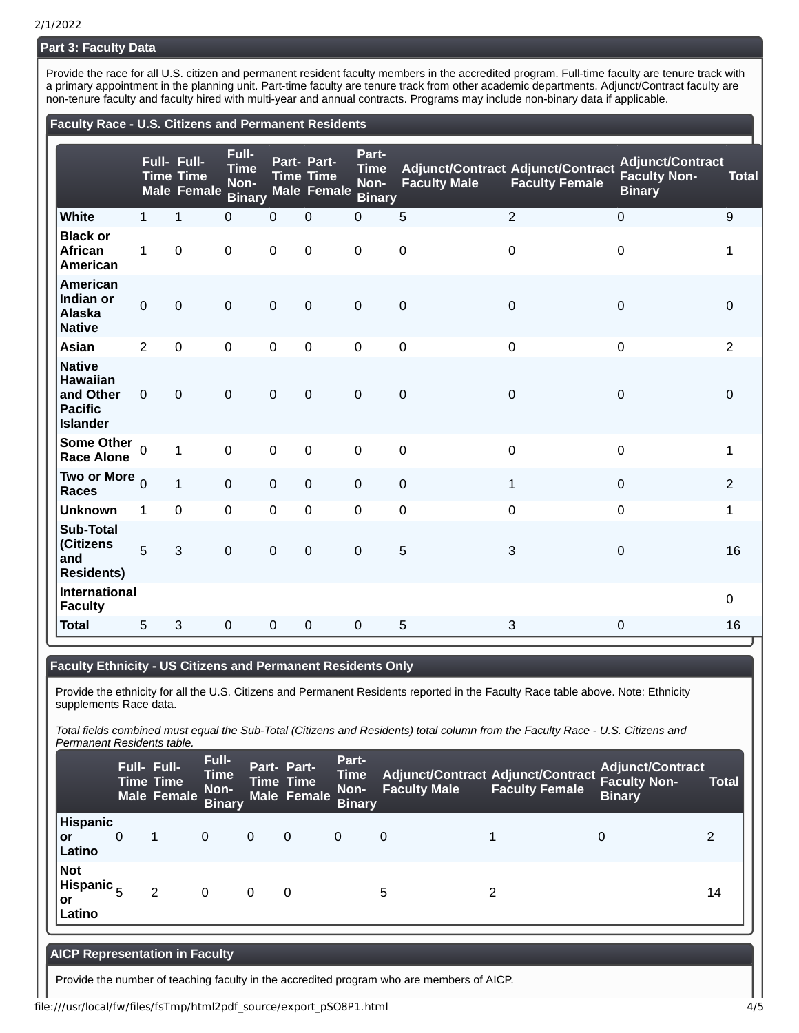## **Part 3: Faculty Data**

Provide the race for all U.S. citizen and permanent resident faculty members in the accredited program. Full-time faculty are tenure track with a primary appointment in the planning unit. Part-time faculty are tenure track from other academic departments. Adjunct/Contract faculty are non-tenure faculty and faculty hired with multi-year and annual contracts. Programs may include non-binary data if applicable.

### **Faculty Race - U.S. Citizens and Permanent Residents**

|                                                                                    |              | Full- Full-<br><b>Time Time</b><br><b>Male Female</b> | Full-<br><b>Time</b><br>Non-<br><b>Binary</b> |             | Part- Part-<br><b>Time Time</b><br><b>Male Female</b> | Part-<br><b>Time</b><br>Non-<br><b>Binary</b> | <b>Faculty Male</b> | <b>Adjunct/Contract Adjunct/Contract</b><br><b>Faculty Female</b> | <b>Adjunct/Contract</b><br><b>Faculty Non-</b><br><b>Binary</b> | <b>Total</b>   |
|------------------------------------------------------------------------------------|--------------|-------------------------------------------------------|-----------------------------------------------|-------------|-------------------------------------------------------|-----------------------------------------------|---------------------|-------------------------------------------------------------------|-----------------------------------------------------------------|----------------|
| White                                                                              | $\mathbf{1}$ | $\mathbf{1}$                                          | $\mathbf 0$                                   | $\mathbf 0$ | $\mathbf 0$                                           | $\mathbf 0$                                   | 5                   | $\overline{c}$                                                    | $\mathsf 0$                                                     | 9              |
| <b>Black or</b><br>African<br>American                                             | $\mathbf{1}$ | $\mathbf 0$                                           | $\mathsf 0$                                   | $\mathbf 0$ | $\mathsf 0$                                           | $\mathsf 0$                                   | $\mathbf 0$         | $\mathbf 0$                                                       | 0                                                               | $\mathbf{1}$   |
| American<br>Indian or<br><b>Alaska</b><br><b>Native</b>                            | $\Omega$     | $\mathbf 0$                                           | $\overline{0}$                                | $\mathbf 0$ | $\mathbf 0$                                           | $\mathbf 0$                                   | $\mathbf 0$         | $\mathbf 0$                                                       | $\Omega$                                                        | $\Omega$       |
| Asian                                                                              | 2            | $\mathbf 0$                                           | $\mathsf 0$                                   | $\mathbf 0$ | 0                                                     | $\mathsf 0$                                   | $\pmb{0}$           | $\mathbf 0$                                                       | $\mathsf 0$                                                     | $\overline{c}$ |
| <b>Native</b><br><b>Hawaiian</b><br>and Other<br><b>Pacific</b><br><b>Islander</b> | $\mathbf 0$  | $\mathbf 0$                                           | $\overline{0}$                                | $\mathbf 0$ | $\overline{0}$                                        | $\mathsf 0$                                   | $\mathbf 0$         | $\mathbf 0$                                                       | $\Omega$                                                        | $\Omega$       |
| <b>Some Other</b><br><b>Race Alone</b>                                             |              | $\mathbf{1}$                                          | $\mathbf 0$                                   | $\mathbf 0$ | $\mathsf 0$                                           | $\mathbf 0$                                   | $\mathbf 0$         | $\mathbf 0$                                                       | $\mathbf 0$                                                     | $\mathbf{1}$   |
| Two or More $_0$<br><b>Races</b>                                                   |              | $\mathbf{1}$                                          | $\mathbf 0$                                   | $\mathbf 0$ | $\mathbf 0$                                           | $\mathbf 0$                                   | $\pmb{0}$           | $\mathbf{1}$                                                      | $\mathsf 0$                                                     | $\overline{2}$ |
| <b>Unknown</b>                                                                     | 1            | $\Omega$                                              | $\mathbf 0$                                   | $\mathbf 0$ | $\mathbf 0$                                           | $\pmb{0}$                                     | 0                   | $\pmb{0}$                                                         | $\mathbf 0$                                                     | $\mathbf{1}$   |
| <b>Sub-Total</b><br>(Citizens<br>and<br><b>Residents)</b>                          | 5            | 3                                                     | $\mathbf 0$                                   | $\mathbf 0$ | $\mathbf 0$                                           | $\mathsf 0$                                   | 5                   | 3                                                                 | $\mathbf 0$                                                     | 16             |
| <b>International</b><br><b>Faculty</b>                                             |              |                                                       |                                               |             |                                                       |                                               |                     |                                                                   |                                                                 | $\mathbf 0$    |
| <b>Total</b>                                                                       | 5            | 3                                                     | $\mathbf{0}$                                  | $\Omega$    | $\Omega$                                              | $\Omega$                                      | 5                   | 3                                                                 | $\Omega$                                                        | 16             |

### **Faculty Ethnicity - US Citizens and Permanent Residents Only**

Provide the ethnicity for all the U.S. Citizens and Permanent Residents reported in the Faculty Race table above. Note: Ethnicity supplements Race data.

*Total fields combined must equal the Sub-Total (Citizens and Residents) total column from the Faculty Race - U.S. Citizens and Permanent Residents table.*

|                                            | Full- Full-<br><b>Time Time</b> | <b>Male Female</b> | Full-<br><b>Time</b><br>Non-<br><b>Binary</b> | Part- Part-  | <b>Time Time</b><br>Male Female | Part-<br><b>Time</b><br>Non-<br><b>Binary</b> | <b>Faculty Male</b> | <b>Adjunct/Contract Adjunct/Contract</b><br><b>Faculty Female</b> | <b>Faculty Non-</b><br><b>Binary</b> | <b>Total</b>   |
|--------------------------------------------|---------------------------------|--------------------|-----------------------------------------------|--------------|---------------------------------|-----------------------------------------------|---------------------|-------------------------------------------------------------------|--------------------------------------|----------------|
| <b>Hispanic</b><br>l or<br>Latino          | 0                               |                    | 0                                             | $\mathbf{0}$ | $\Omega$                        | $\mathbf{0}$                                  | 0                   |                                                                   |                                      | $\mathfrak{p}$ |
| Not<br>Hispanic $_{\rm E}$<br>or<br>Latino |                                 | 2                  | 0                                             | 0            | 0                               |                                               | 5                   |                                                                   |                                      | 14             |

### **AICP Representation in Faculty**

Provide the number of teaching faculty in the accredited program who are members of AICP.